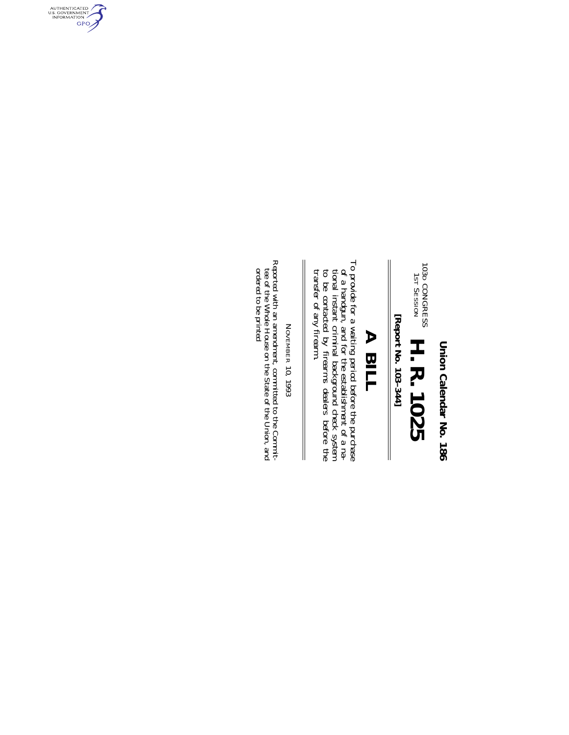Union Calendar No. 186 **Union Calendar No. 186**

103D (<br>1<br>1ST CONGRESS SESSION H. R. 1025 **H. R. 1025**

[Report No. 103-344] **[Report No. 103–344]**

 $\begin{array}{c} \hline \end{array}$ 

# **A BILL A BILL**

To provide for a waiting period before the purchase of a handgun, and for the establishment of a national instant criminal background check system to be contacted by firearms dealers before the transfer of any firearm. To provide for a waiting period before the purchase transfer of any firearm. to be contacted by firearms dealers before the tional instant criminal background check system of a handgun, and for the establishment of a na-

NOVEMBER NOVEMBER 10, 1993

 $\parallel$ 

Reported with an amendment, committed to the Commited tee of the Whole House on the State of the Union, and ordered to be printed Reported with an amendment, committed to the Committee of the Whole House on the State of the Union, and<br>ordered to be printed

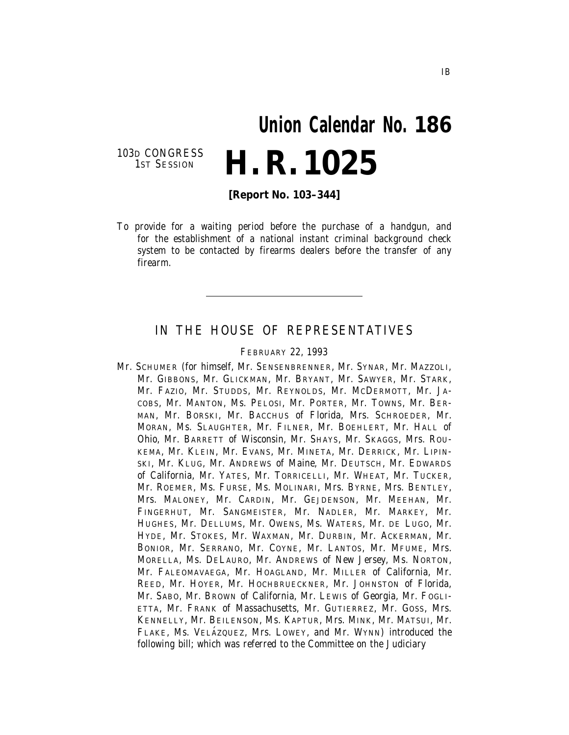# **Union Calendar No. 186 H. R. 1025**

103D CONGRESS<br>1ST SESSION

**[Report No. 103–344]**

To provide for a waiting period before the purchase of a handgun, and for the establishment of a national instant criminal background check system to be contacted by firearms dealers before the transfer of any firearm.

## IN THE HOUSE OF REPRESENTATIVES

FEBRUARY 22, 1993

Mr. SCHUMER (for himself, Mr. SENSENBRENNER, Mr. SYNAR, Mr. MAZZOLI, Mr. GIBBONS, Mr. GLICKMAN, Mr. BRYANT, Mr. SAWYER, Mr. STARK, Mr. FAZIO, Mr. STUDDS, Mr. REYNOLDS, Mr. MCDERMOTT, Mr. JA-COBS, Mr. MANTON, Ms. PELOSI, Mr. PORTER, Mr. TOWNS, Mr. BER-MAN, Mr. BORSKI, Mr. BACCHUS of Florida, Mrs. SCHROEDER, Mr. MORAN, Ms. SLAUGHTER, Mr. FILNER, Mr. BOEHLERT, Mr. HALL of Ohio, Mr. BARRETT of Wisconsin, Mr. SHAYS, Mr. SKAGGS, Mrs. ROU-KEMA, Mr. KLEIN, Mr. EVANS, Mr. MINETA, Mr. DERRICK, Mr. LIPIN-SKI, Mr. KLUG, Mr. ANDREWS of Maine, Mr. DEUTSCH, Mr. EDWARDS of California, Mr. YATES, Mr. TORRICELLI, Mr. WHEAT, Mr. TUCKER, Mr. ROEMER, Ms. FURSE, Ms. MOLINARI, Mrs. BYRNE, Mrs. BENTLEY, Mrs. MALONEY, Mr. CARDIN, Mr. GEJDENSON, Mr. MEEHAN, Mr. FINGERHUT, Mr. SANGMEISTER, Mr. NADLER, Mr. MARKEY, Mr. HUGHES, Mr. DELLUMS, Mr. OWENS, Ms. WATERS, Mr. DE LUGO, Mr. HYDE, Mr. STOKES, Mr. WAXMAN, Mr. DURBIN, Mr. ACKERMAN, Mr. BONIOR, Mr. SERRANO, Mr. COYNE, Mr. LANTOS, Mr. MFUME, Mrs. MORELLA, Ms. DELAURO, Mr. ANDREWS of New Jersey, Ms. NORTON, Mr. FALEOMAVAEGA, Mr. HOAGLAND, Mr. MILLER of California, Mr. REED, Mr. HOYER, Mr. HOCHBRUECKNER, Mr. JOHNSTON of Florida, Mr. SABO, Mr. BROWN of California, Mr. LEWIS of Georgia, Mr. FOGLI-ETTA, Mr. FRANK of Massachusetts, Mr. GUTIERREZ, Mr. GOSS, Mrs. KENNELLY, Mr. BEILENSON, Ms. KAPTUR, Mrs. MINK, Mr. MATSUI, Mr. FLAKE, Ms. VELAZQUEZ, Mrs. LOWEY, and Mr. WYNN) introduced the following bill; which was referred to the Committee on the Judiciary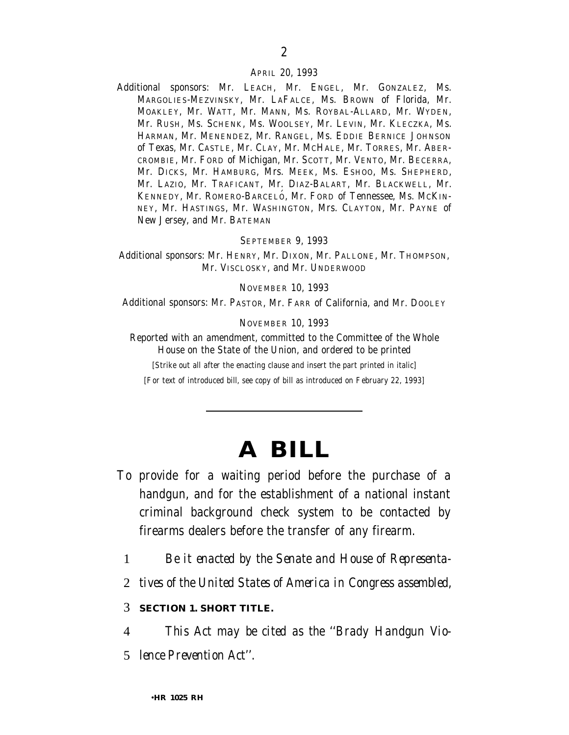#### APRIL 20, 1993

Additional sponsors: Mr. LEACH, Mr. ENGEL, Mr. GONZALEZ, Ms. MARGOLIES-MEZVINSKY, Mr. LAFALCE, Ms. BROWN of Florida, Mr. MOAKLEY, Mr. WATT, Mr. MANN, Ms. ROYBAL-ALLARD, Mr. WYDEN, Mr. RUSH, Ms. SCHENK, Ms. WOOLSEY, Mr. LEVIN, Mr. KLECZKA, Ms. HARMAN, Mr. MENENDEZ, Mr. RANGEL, Ms. EDDIE BERNICE JOHNSON of Texas, Mr. CASTLE, Mr. CLAY, Mr. MCHALE, Mr. TORRES, Mr. ABER-CROMBIE, Mr. FORD of Michigan, Mr. SCOTT, Mr. VENTO, Mr. BECERRA, Mr. DICKS, Mr. HAMBURG, Mrs. MEEK, Ms. ESHOO, Ms. SHEPHERD, Mr. LAZIO, Mr. TRAFICANT, Mr. DIAZ-BALART, Mr. BLACKWELL, Mr. KENNEDY, Mr. ROMERO-BARCELÓ, Mr. FORD of Tennessee, Ms. MCKIN-NEY, Mr. HASTINGS, Mr. WASHINGTON, Mrs. CLAYTON, Mr. PAYNE of New Jersey, and Mr. BATEMAN

#### SEPTEMBER 9, 1993

Additional sponsors: Mr. HENRY, Mr. DIXON, Mr. PALLONE, Mr. THOMPSON, Mr. VISCLOSKY, and Mr. UNDERWOOD

#### NOVEMBER 10, 1993

Additional sponsors: Mr. PASTOR, Mr. FARR of California, and Mr. DOOLEY

NOVEMBER 10, 1993

Reported with an amendment, committed to the Committee of the Whole House on the State of the Union, and ordered to be printed

[Strike out all after the enacting clause and insert the part printed in italic]

[For text of introduced bill, see copy of bill as introduced on February 22, 1993]

# **A BILL**

- To provide for a waiting period before the purchase of a handgun, and for the establishment of a national instant criminal background check system to be contacted by firearms dealers before the transfer of any firearm.
	- 1 *Be it enacted by the Senate and House of Representa-*
	- 2 *tives of the United States of America in Congress assembled,*

### 3 *SECTION 1. SHORT TITLE.*

4 *This Act may be cited as the ''Brady Handgun Vio-*

5 *lence Prevention Act''.*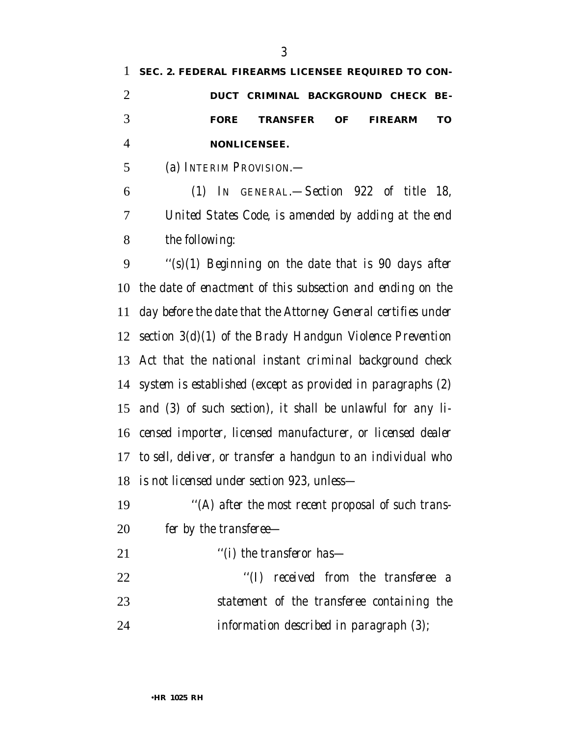|   | 1 SEC. 2. FEDERAL FIREARMS LICENSEE REQUIRED TO CON- |    |
|---|------------------------------------------------------|----|
| 2 | DUCT CRIMINAL BACKGROUND CHECK BE-                   |    |
| 3 | <i>TRANSFER OF</i><br>FIREARM<br><b>FORE</b>         | TО |
| 4 | <b>NONLICENSEE.</b>                                  |    |
| 5 | (a) INTERIM PROVISION. —                             |    |
| 6 | (1) In GENERAL.—Section 922 of title 18,             |    |
|   |                                                      |    |

 *United States Code, is amended by adding at the end the following:*

 *''(s)(1) Beginning on the date that is 90 days after the date of enactment of this subsection and ending on the day before the date that the Attorney General certifies under section 3(d)(1) of the Brady Handgun Violence Prevention Act that the national instant criminal background check system is established (except as provided in paragraphs (2) and (3) of such section), it shall be unlawful for any li- censed importer, licensed manufacturer, or licensed dealer to sell, deliver, or transfer a handgun to an individual who is not licensed under section 923, unless—*

- *''(A) after the most recent proposal of such trans-fer by the transferee—*
- *''(i) the transferor has—*
- *''(I) received from the transferee a statement of the transferee containing the information described in paragraph (3);*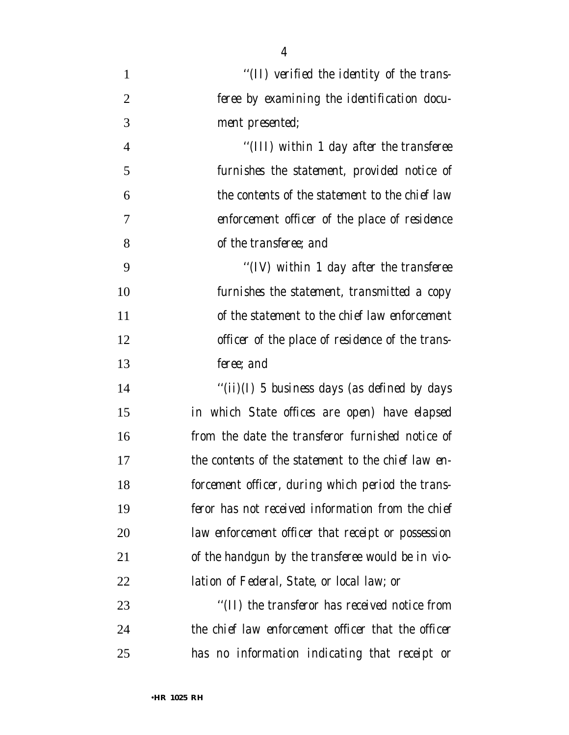| 1              | "(II) verified the identity of the trans-          |
|----------------|----------------------------------------------------|
| $\overline{2}$ | feree by examining the identification docu-        |
| 3              | ment presented;                                    |
| $\overline{4}$ | "(III) within 1 day after the transferee           |
| 5              | furnishes the statement, provided notice of        |
| 6              | the contents of the statement to the chief law     |
| 7              | enforcement officer of the place of residence      |
| 8              | of the transferee; and                             |
| 9              | "(IV) within 1 day after the transferee            |
| 10             | furnishes the statement, transmitted a copy        |
| 11             | of the statement to the chief law enforcement      |
| 12             | officer of the place of residence of the trans-    |
| 13             | feree; and                                         |
| 14             | "(ii)(I) 5 business days (as defined by days       |
| 15             | in which State offices are open) have elapsed      |
| 16             | from the date the transferor furnished notice of   |
| 17             | the contents of the statement to the chief law en- |
| 18             | forcement officer, during which period the trans-  |
| 19             | feror has not received information from the chief  |
| 20             | law enforcement officer that receipt or possession |
| 21             | of the handgun by the transferee would be in vio-  |
| 22             | lation of Federal, State, or local law; or         |
| 23             | "(II) the transferor has received notice from      |
| 24             | the chief law enforcement officer that the officer |
| 25             | has no information indicating that receipt or      |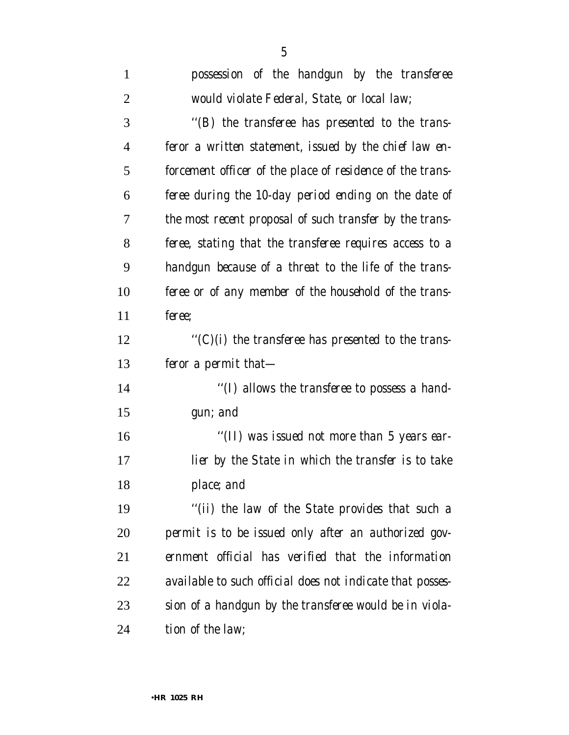| $\mathbf{1}$   | possession of the handgun by the transferee               |
|----------------|-----------------------------------------------------------|
| 2              | would violate Federal, State, or local law;               |
| 3              | "(B) the transferee has presented to the trans-           |
| $\overline{4}$ | feror a written statement, issued by the chief law en-    |
| 5              | forcement officer of the place of residence of the trans- |
| 6              | feree during the 10-day period ending on the date of      |
| 7              | the most recent proposal of such transfer by the trans-   |
| 8              | feree, stating that the transferee requires access to a   |
| 9              | handgun because of a threat to the life of the trans-     |
| 10             | feree or of any member of the household of the trans-     |
| 11             | feree:                                                    |
| 12             | "(C)(i) the transferee has presented to the trans-        |
| 13             | feror a permit that-                                      |
| 14             | "(I) allows the transferee to possess a hand-             |
| 15             | gun; and                                                  |
| 16             | "(II) was issued not more than 5 years ear-               |
| 17             | lier by the State in which the transfer is to take        |
| 18             | place; and                                                |
| 19             | "(ii) the law of the State provides that such a           |
| 20             | permit is to be issued only after an authorized gov-      |
| 21             | ernment official has verified that the information        |
| 22             | available to such official does not indicate that posses- |
| 23             | sion of a handgun by the transferee would be in viola-    |
| 24             | tion of the law;                                          |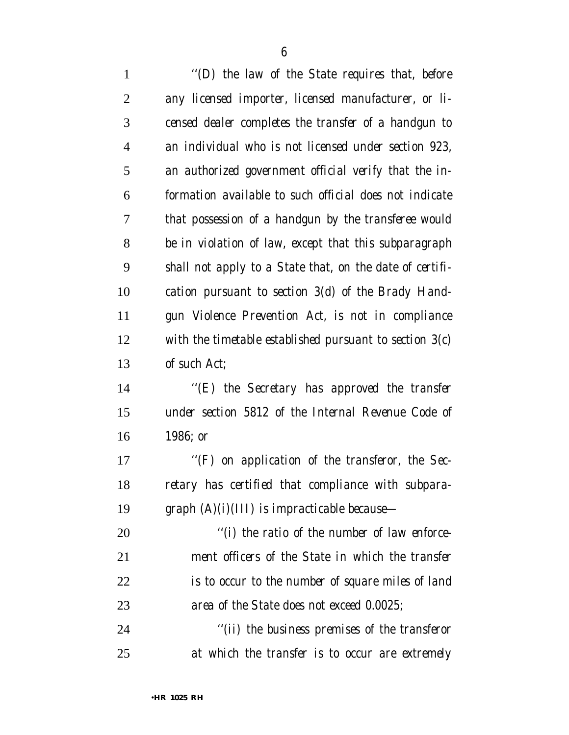| $\mathbf{1}$   | "(D) the law of the State requires that, before           |
|----------------|-----------------------------------------------------------|
| $\overline{2}$ | any licensed importer, licensed manufacturer, or li-      |
| 3              | censed dealer completes the transfer of a handgun to      |
| 4              | an individual who is not licensed under section 923,      |
| 5              | an authorized government official verify that the in-     |
| 6              | formation available to such official does not indicate    |
| 7              | that possession of a handgun by the transferee would      |
| 8              | be in violation of law, except that this subparagraph     |
| 9              | shall not apply to a State that, on the date of certifi-  |
| 10             | cation pursuant to section $3(d)$ of the Brady Hand-      |
| 11             | gun Violence Prevention Act, is not in compliance         |
| 12             | with the timetable established pursuant to section $3(c)$ |
| 13             | of such Act;                                              |
| 14             | "(E) the Secretary has approved the transfer              |
| 15             | under section 5812 of the Internal Revenue Code of        |
| 16             | 1986; or                                                  |
| 17             | "(F) on application of the transferor, the Sec-           |
| 18             | retary has certified that compliance with subpara-        |
| 19             | graph $(A)(i)(III)$ is impracticable because—             |
| 20             | "(i) the ratio of the number of law enforce-              |
| 21             | ment officers of the State in which the transfer          |
| 22             | is to occur to the number of square miles of land         |
| 23             | area of the State does not exceed 0.0025;                 |
| 24             | "(ii) the business premises of the transferor             |
| 25             | at which the transfer is to occur are extremely           |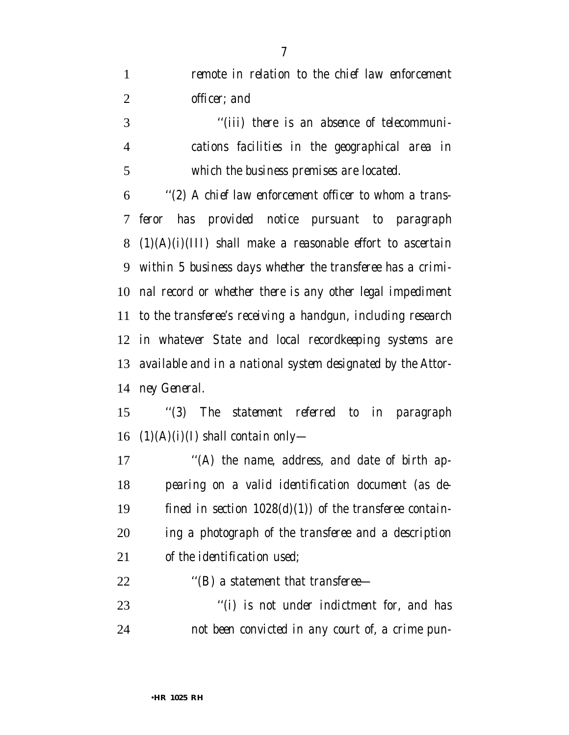*remote in relation to the chief law enforcement officer; and*

 *''(iii) there is an absence of telecommuni- cations facilities in the geographical area in which the business premises are located.*

 *''(2) A chief law enforcement officer to whom a trans- feror has provided notice pursuant to paragraph (1)(A)(i)(III) shall make a reasonable effort to ascertain within 5 business days whether the transferee has a crimi- nal record or whether there is any other legal impediment to the transferee's receiving a handgun, including research in whatever State and local recordkeeping systems are available and in a national system designated by the Attor-ney General.*

 *''(3) The statement referred to in paragraph (1)(A)(i)(I) shall contain only—*

 *''(A) the name, address, and date of birth ap- pearing on a valid identification document (as de- fined in section 1028(d)(1)) of the transferee contain- ing a photograph of the transferee and a description of the identification used;*

*''(B) a statement that transferee—*

 *''(i) is not under indictment for, and has not been convicted in any court of, a crime pun-*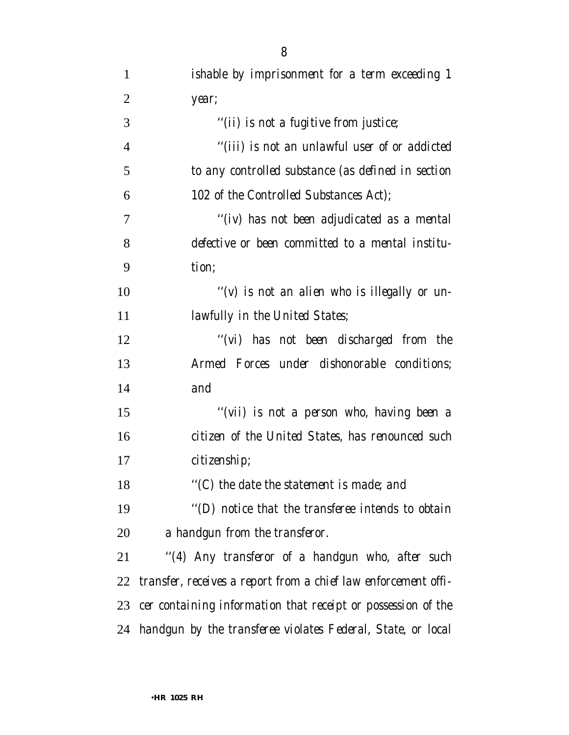| $\mathbf{1}$   | ishable by imprisonment for a term exceeding 1                 |
|----------------|----------------------------------------------------------------|
| $\overline{2}$ | year;                                                          |
| 3              | "(ii) is not a fugitive from justice;                          |
| $\overline{4}$ | "(iii) is not an unlawful user of or addicted                  |
| 5              | to any controlled substance (as defined in section             |
| 6              | 102 of the Controlled Substances Act);                         |
| 7              | "(iv) has not been adjudicated as a mental                     |
| 8              | defective or been committed to a mental institu-               |
| 9              | tion;                                                          |
| 10             | "(v) is not an alien who is illegally or un-                   |
| 11             | <i>lawfully in the United States;</i>                          |
| 12             | "(vi) has not been discharged from the                         |
| 13             | Armed Forces under dishonorable conditions;                    |
| 14             | and                                                            |
| 15             | "(vii) is not a person who, having been a                      |
| 16             | citizen of the United States, has renounced such               |
| 17             | citizenship;                                                   |
| 18             | "(C) the date the statement is made; and                       |
| 19             | "(D) notice that the transferee intends to obtain              |
| 20             | a handgun from the transferor.                                 |
| 21             | "(4) Any transferor of a handgun who, after such               |
| 22             | transfer, receives a report from a chief law enforcement offi- |
| 23             | cer containing information that receipt or possession of the   |
|                | 24 handgun by the transferee violates Federal, State, or local |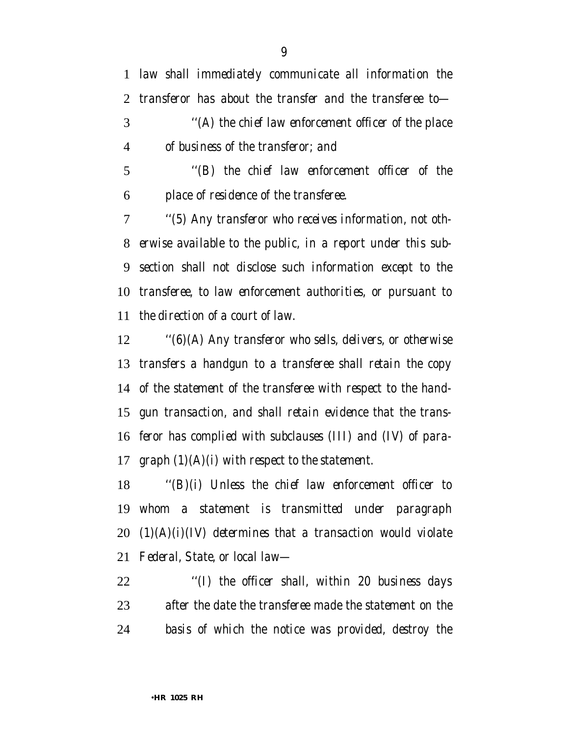*law shall immediately communicate all information the transferor has about the transfer and the transferee to— ''(A) the chief law enforcement officer of the place of business of the transferor; and*

 *''(B) the chief law enforcement officer of the place of residence of the transferee.*

 *''(5) Any transferor who receives information, not oth- erwise available to the public, in a report under this sub- section shall not disclose such information except to the transferee, to law enforcement authorities, or pursuant to the direction of a court of law.*

 *''(6)(A) Any transferor who sells, delivers, or otherwise transfers a handgun to a transferee shall retain the copy of the statement of the transferee with respect to the hand- gun transaction, and shall retain evidence that the trans- feror has complied with subclauses (III) and (IV) of para-graph (1)(A)(i) with respect to the statement.*

 *''(B)(i) Unless the chief law enforcement officer to whom a statement is transmitted under paragraph (1)(A)(i)(IV) determines that a transaction would violate Federal, State, or local law—*

 *''(I) the officer shall, within 20 business days after the date the transferee made the statement on the basis of which the notice was provided, destroy the*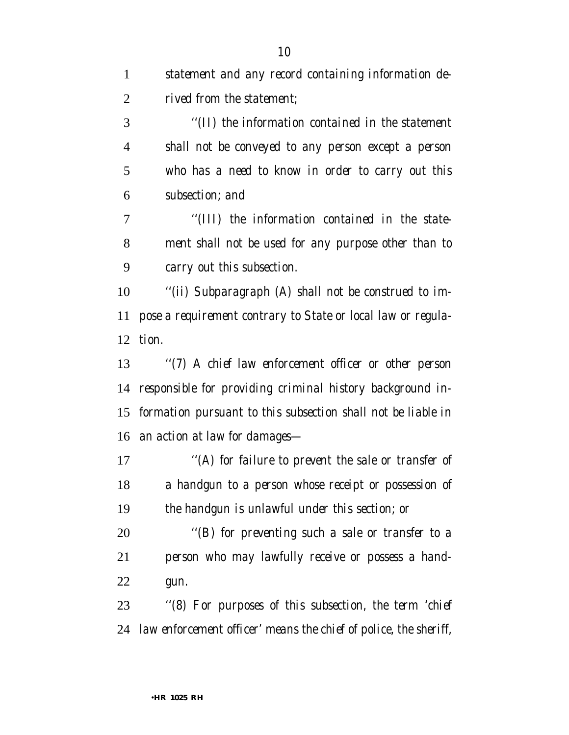| $\mathbf{1}$ | statement and any record containing information de-              |
|--------------|------------------------------------------------------------------|
| 2            | rived from the statement;                                        |
| 3            | "(II) the information contained in the statement                 |
| 4            | shall not be conveyed to any person except a person              |
| 5            | who has a need to know in order to carry out this                |
| 6            | subsection; and                                                  |
| 7            | "(III) the information contained in the state-                   |
| 8            | ment shall not be used for any purpose other than to             |
| 9            | carry out this subsection.                                       |
| 10           | "(ii) Subparagraph (A) shall not be construed to im-             |
| 11           | pose a requirement contrary to State or local law or regula-     |
| 12           | tion.                                                            |
| 13           | "(7) A chief law enforcement officer or other person             |
| 14           | responsible for providing criminal history background in-        |
| 15           | formation pursuant to this subsection shall not be liable in     |
| 16           | an action at law for damages—                                    |
| 17           | "(A) for failure to prevent the sale or transfer of              |
| 18           | a handgun to a person whose receipt or possession of             |
| 19           | the handgun is unlawful under this section; or                   |
| 20           | "(B) for preventing such a sale or transfer to a                 |
| 21           | person who may lawfully receive or possess a hand-               |
| 22           | gun.                                                             |
| 23           | "(8) For purposes of this subsection, the term 'chief            |
| 24           | law enforcement officer' means the chief of police, the sheriff, |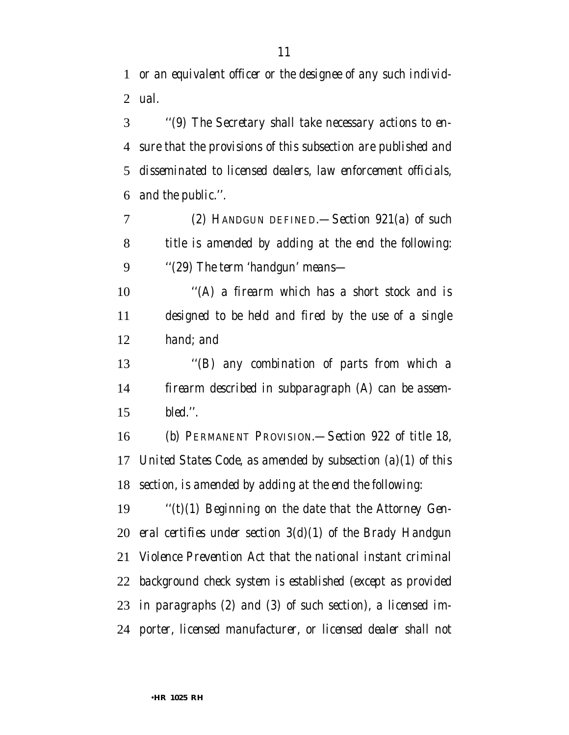*or an equivalent officer or the designee of any such individ-ual.*

 *''(9) The Secretary shall take necessary actions to en- sure that the provisions of this subsection are published and disseminated to licensed dealers, law enforcement officials, and the public.''.*

 *(2) HANDGUN DEFINED.—Section 921(a) of such title is amended by adding at the end the following: ''(29) The term 'handgun' means—*

 *''(A) a firearm which has a short stock and is designed to be held and fired by the use of a single hand; and*

 *''(B) any combination of parts from which a firearm described in subparagraph (A) can be assem-bled.''.*

 *(b) PERMANENT PROVISION.—Section 922 of title 18, United States Code, as amended by subsection (a)(1) of this section, is amended by adding at the end the following:*

 *''(t)(1) Beginning on the date that the Attorney Gen- eral certifies under section 3(d)(1) of the Brady Handgun Violence Prevention Act that the national instant criminal background check system is established (except as provided in paragraphs (2) and (3) of such section), a licensed im-porter, licensed manufacturer, or licensed dealer shall not*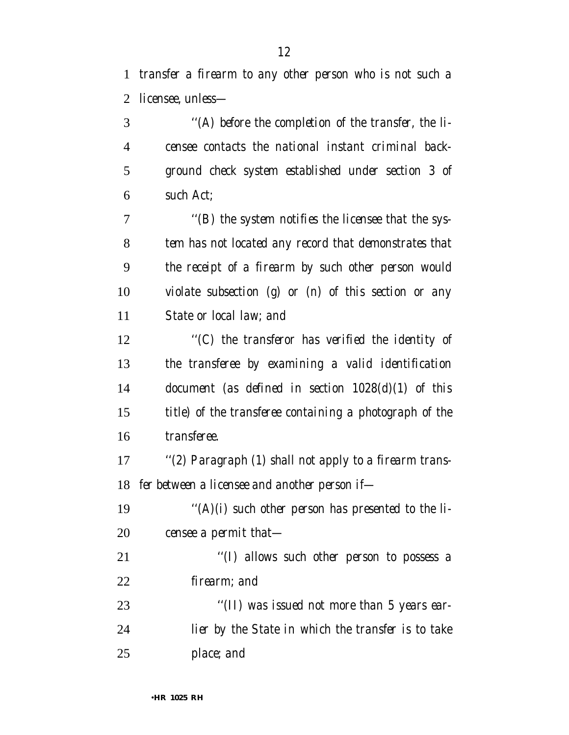*transfer a firearm to any other person who is not such a licensee, unless—*

 *''(A) before the completion of the transfer, the li- censee contacts the national instant criminal back- ground check system established under section 3 of such Act; ''(B) the system notifies the licensee that the sys- tem has not located any record that demonstrates that the receipt of a firearm by such other person would violate subsection (g) or (n) of this section or any State or local law; and ''(C) the transferor has verified the identity of the transferee by examining a valid identification document (as defined in section 1028(d)(1) of this title) of the transferee containing a photograph of the transferee.*

 *''(2) Paragraph (1) shall not apply to a firearm trans-fer between a licensee and another person if—*

 *''(A)(i) such other person has presented to the li-censee a permit that—*

 *''(I) allows such other person to possess a firearm; and*

 *''(II) was issued not more than 5 years ear- lier by the State in which the transfer is to take place; and*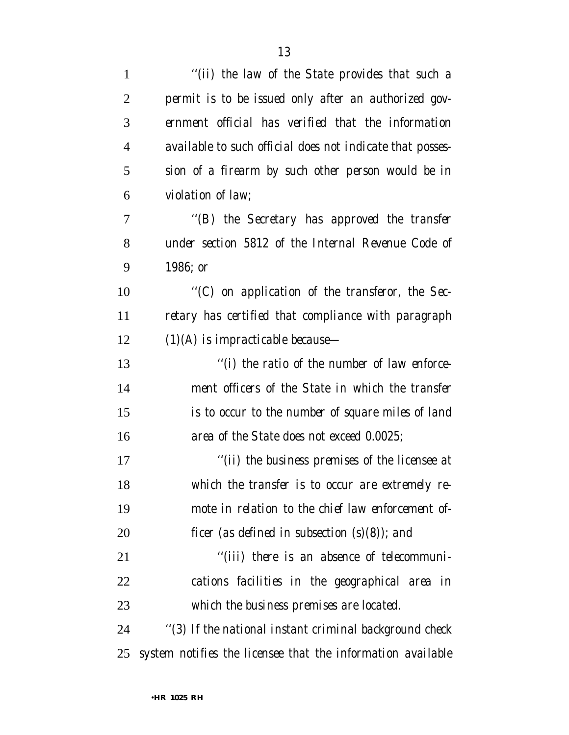| $\mathbf{1}$   | "(ii) the law of the State provides that such a             |
|----------------|-------------------------------------------------------------|
| $\overline{2}$ | permit is to be issued only after an authorized gov-        |
| 3              | ernment official has verified that the information          |
| $\overline{4}$ | available to such official does not indicate that posses-   |
| 5              | sion of a firearm by such other person would be in          |
| 6              | violation of law;                                           |
| 7              | "(B) the Secretary has approved the transfer                |
| 8              | under section 5812 of the Internal Revenue Code of          |
| 9              | 1986; or                                                    |
| 10             | "(C) on application of the transferor, the Sec-             |
| 11             | retary has certified that compliance with paragraph         |
| 12             | $(1)(A)$ is impracticable because-                          |
| 13             | "(i) the ratio of the number of law enforce-                |
| 14             | ment officers of the State in which the transfer            |
| 15             | is to occur to the number of square miles of land           |
| 16             | area of the State does not exceed 0.0025;                   |
| 17             | "(ii) the business premises of the licensee at              |
| 18             | which the transfer is to occur are extremely re-            |
| 19             | mote in relation to the chief law enforcement of-           |
| 20             | ficer (as defined in subsection $(s)(8)$ ); and             |
| 21             | "(iii) there is an absence of telecommuni-                  |
| 22             | cations facilities in the geographical area in              |
| 23             | which the business premises are located.                    |
| 24             | "(3) If the national instant criminal background check      |
| 25             | system notifies the licensee that the information available |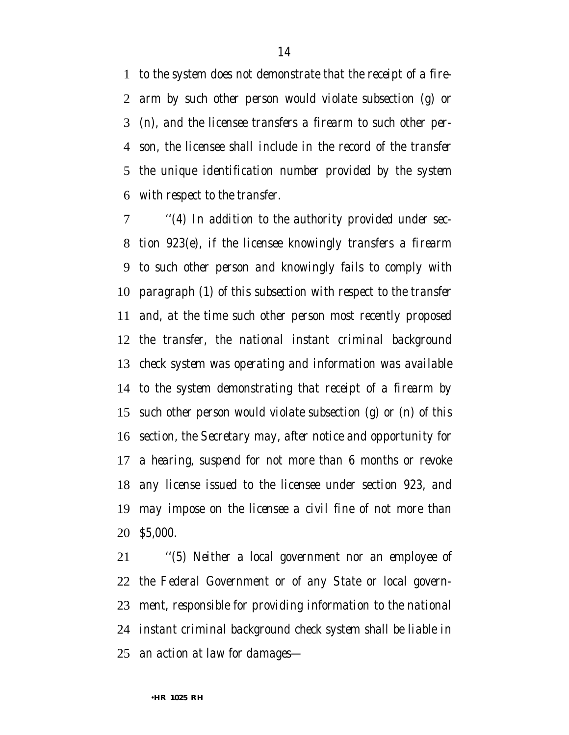*to the system does not demonstrate that the receipt of a fire- arm by such other person would violate subsection (g) or (n), and the licensee transfers a firearm to such other per- son, the licensee shall include in the record of the transfer the unique identification number provided by the system with respect to the transfer.*

 *''(4) In addition to the authority provided under sec- tion 923(e), if the licensee knowingly transfers a firearm to such other person and knowingly fails to comply with paragraph (1) of this subsection with respect to the transfer and, at the time such other person most recently proposed the transfer, the national instant criminal background check system was operating and information was available to the system demonstrating that receipt of a firearm by such other person would violate subsection (g) or (n) of this section, the Secretary may, after notice and opportunity for a hearing, suspend for not more than 6 months or revoke any license issued to the licensee under section 923, and may impose on the licensee a civil fine of not more than \$5,000.*

 *''(5) Neither a local government nor an employee of the Federal Government or of any State or local govern- ment, responsible for providing information to the national instant criminal background check system shall be liable in an action at law for damages—*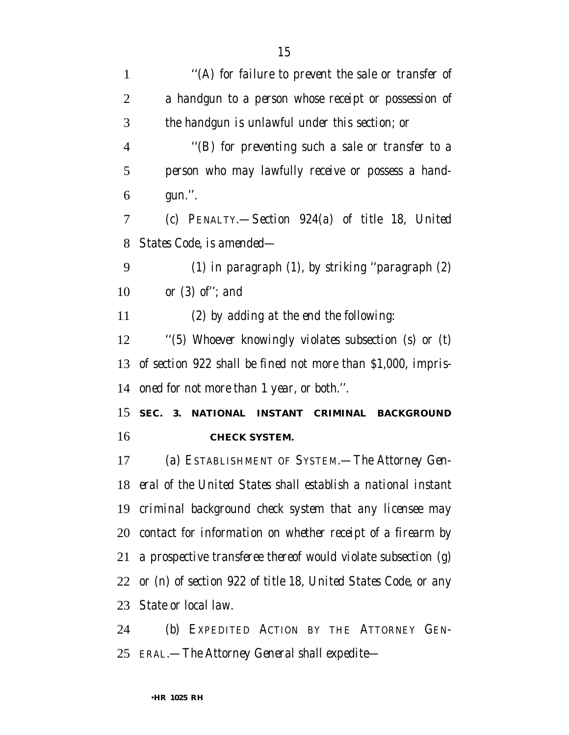| 1              | "(A) for failure to prevent the sale or transfer of                |
|----------------|--------------------------------------------------------------------|
| $\overline{2}$ | a handgun to a person whose receipt or possession of               |
| 3              | the handgun is unlawful under this section; or                     |
| 4              | "(B) for preventing such a sale or transfer to a                   |
| 5              | person who may lawfully receive or possess a hand-                 |
| 6              | gun.".                                                             |
| 7              | (c) PENALTY.—Section 924(a) of title 18, United                    |
| 8              | States Code, is amended—                                           |
| 9              | $(1)$ in paragraph $(1)$ , by striking "paragraph $(2)$            |
| 10             | or $(3)$ of"; and                                                  |
| 11             | (2) by adding at the end the following:                            |
| 12             | "(5) Whoever knowingly violates subsection (s) or (t)              |
| 13             | of section 922 shall be fined not more than \$1,000, impris-       |
| 14             | oned for not more than 1 year, or both.".                          |
| 15             | SEC. 3. NATIONAL INSTANT CRIMINAL BACKGROUND                       |
| 16             | <b>CHECK SYSTEM.</b>                                               |
| 17             | (a) ESTABLISHMENT OF SYSTEM.—The Attorney Gen-                     |
|                | 18 eral of the United States shall establish a national instant    |
|                | 19 criminal background check system that any licensee may          |
|                | 20 contact for information on whether receipt of a firearm by      |
|                | 21 a prospective transferee thereof would violate subsection $(g)$ |
|                | 22 or (n) of section 922 of title 18, United States Code, or any   |
|                | 23 State or local law.                                             |
| 24             | (b) Expedited Action by the Attorney Gen-                          |

*ERAL.—The Attorney General shall expedite—*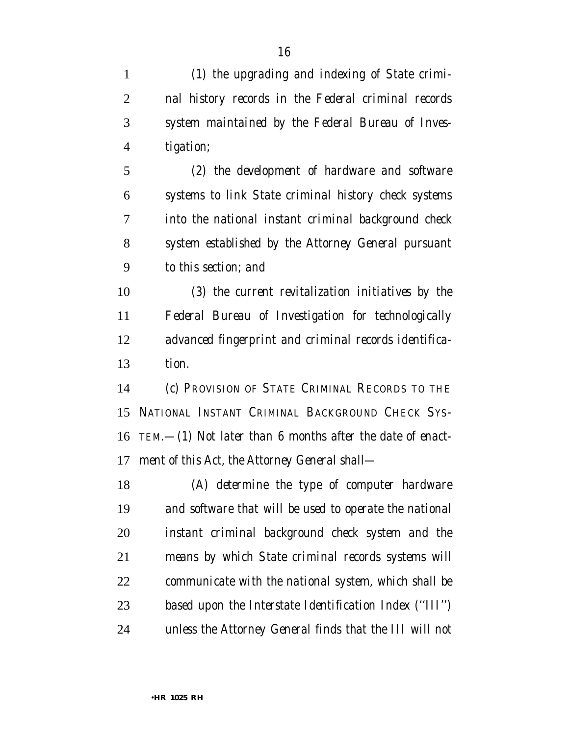*(1) the upgrading and indexing of State crimi- nal history records in the Federal criminal records system maintained by the Federal Bureau of Inves- tigation; (2) the development of hardware and software systems to link State criminal history check systems into the national instant criminal background check system established by the Attorney General pursuant*

*to this section; and*

 *(3) the current revitalization initiatives by the Federal Bureau of Investigation for technologically advanced fingerprint and criminal records identifica-tion.*

 *(c) PROVISION OF STATE CRIMINAL RECORDS TO THE NATIONAL INSTANT CRIMINAL BACKGROUND CHECK SYS- TEM.—(1) Not later than 6 months after the date of enact-ment of this Act, the Attorney General shall—*

 *(A) determine the type of computer hardware and software that will be used to operate the national instant criminal background check system and the means by which State criminal records systems will communicate with the national system, which shall be based upon the Interstate Identification Index (''III'') unless the Attorney General finds that the III will not*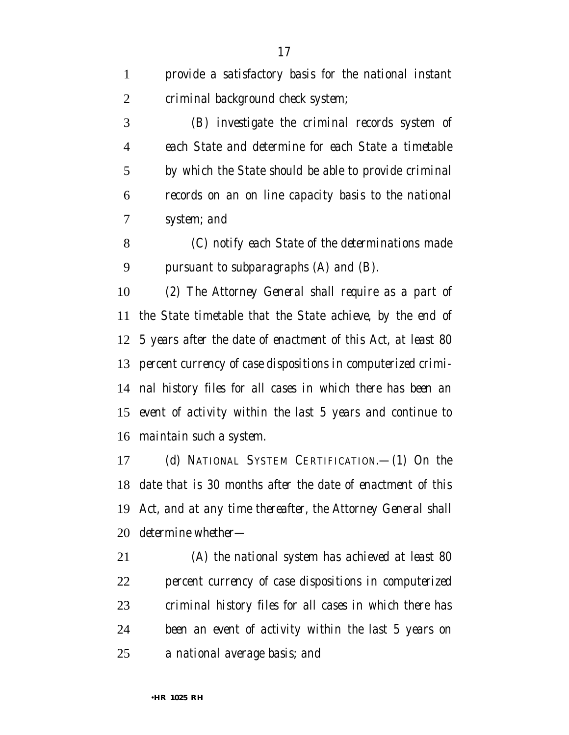*provide a satisfactory basis for the national instant criminal background check system;*

 *(B) investigate the criminal records system of each State and determine for each State a timetable by which the State should be able to provide criminal records on an on line capacity basis to the national system; and*

 *(C) notify each State of the determinations made pursuant to subparagraphs (A) and (B).*

 *(2) The Attorney General shall require as a part of the State timetable that the State achieve, by the end of 5 years after the date of enactment of this Act, at least 80 percent currency of case dispositions in computerized crimi- nal history files for all cases in which there has been an event of activity within the last 5 years and continue to maintain such a system.*

 *(d) NATIONAL SYSTEM CERTIFICATION.—(1) On the date that is 30 months after the date of enactment of this Act, and at any time thereafter, the Attorney General shall determine whether—*

 *(A) the national system has achieved at least 80 percent currency of case dispositions in computerized criminal history files for all cases in which there has been an event of activity within the last 5 years on a national average basis; and*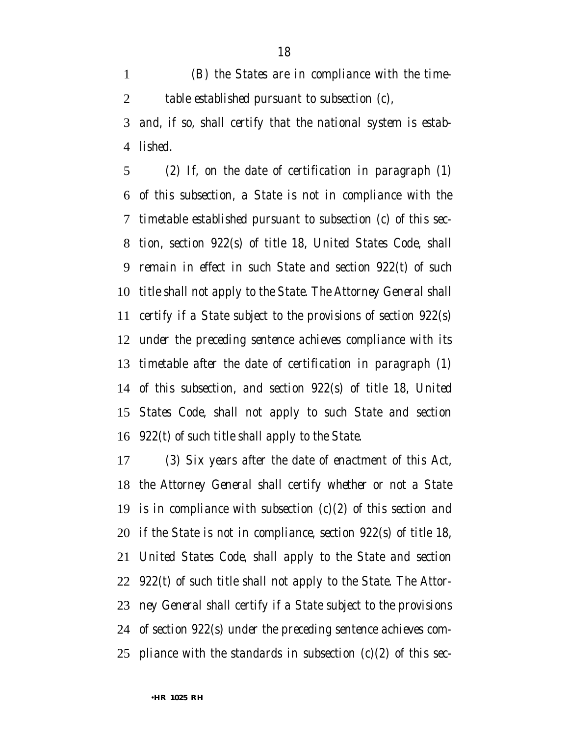*(B) the States are in compliance with the time-table established pursuant to subsection (c),*

 *and, if so, shall certify that the national system is estab-lished.*

 *(2) If, on the date of certification in paragraph (1) of this subsection, a State is not in compliance with the timetable established pursuant to subsection (c) of this sec- tion, section 922(s) of title 18, United States Code, shall remain in effect in such State and section 922(t) of such title shall not apply to the State. The Attorney General shall certify if a State subject to the provisions of section 922(s) under the preceding sentence achieves compliance with its timetable after the date of certification in paragraph (1) of this subsection, and section 922(s) of title 18, United States Code, shall not apply to such State and section 922(t) of such title shall apply to the State.*

 *(3) Six years after the date of enactment of this Act, the Attorney General shall certify whether or not a State is in compliance with subsection (c)(2) of this section and if the State is not in compliance, section 922(s) of title 18, United States Code, shall apply to the State and section 922(t) of such title shall not apply to the State. The Attor- ney General shall certify if a State subject to the provisions of section 922(s) under the preceding sentence achieves com-pliance with the standards in subsection (c)(2) of this sec-*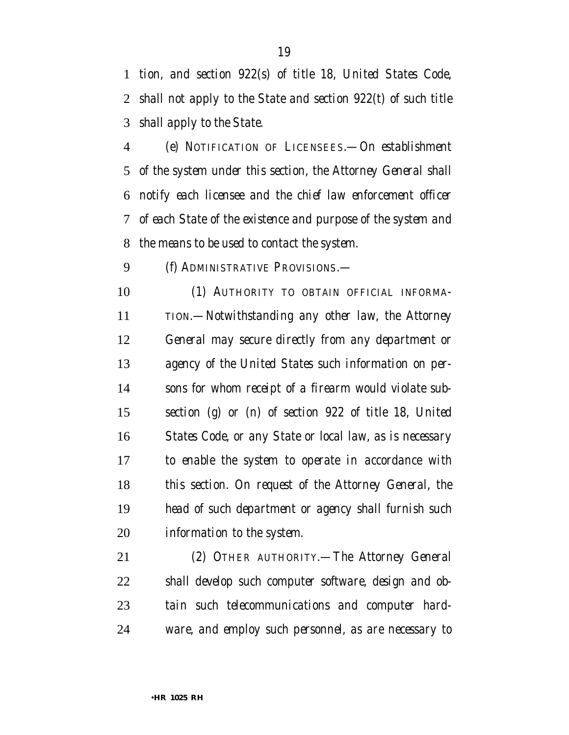*tion, and section 922(s) of title 18, United States Code, shall not apply to the State and section 922(t) of such title shall apply to the State.*

 *(e) NOTIFICATION OF LICENSEES.—On establishment of the system under this section, the Attorney General shall notify each licensee and the chief law enforcement officer of each State of the existence and purpose of the system and the means to be used to contact the system.*

*(f) ADMINISTRATIVE PROVISIONS.—*

 *(1) AUTHORITY TO OBTAIN OFFICIAL INFORMA- TION.—Notwithstanding any other law, the Attorney General may secure directly from any department or agency of the United States such information on per- sons for whom receipt of a firearm would violate sub- section (g) or (n) of section 922 of title 18, United States Code, or any State or local law, as is necessary to enable the system to operate in accordance with this section. On request of the Attorney General, the head of such department or agency shall furnish such information to the system.*

 *(2) OTHER AUTHORITY.—The Attorney General shall develop such computer software, design and ob- tain such telecommunications and computer hard-ware, and employ such personnel, as are necessary to*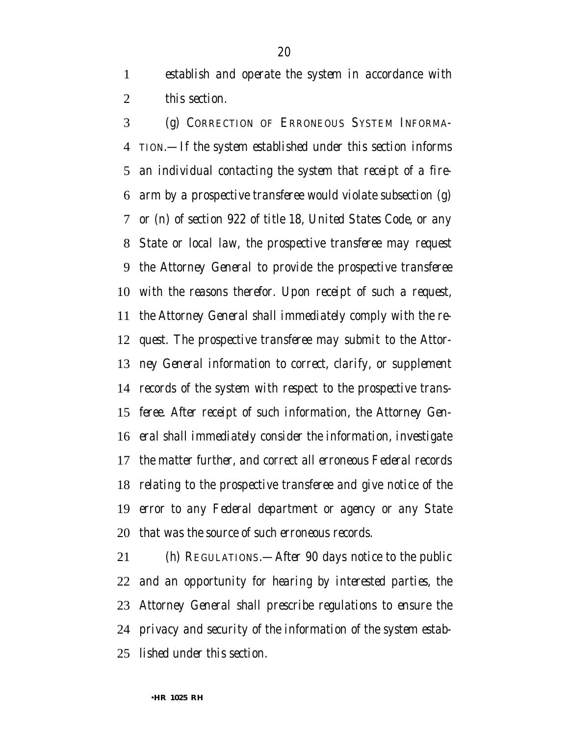*establish and operate the system in accordance with this section.*

 *(g) CORRECTION OF ERRONEOUS SYSTEM INFORMA- TION.—If the system established under this section informs an individual contacting the system that receipt of a fire- arm by a prospective transferee would violate subsection (g) or (n) of section 922 of title 18, United States Code, or any State or local law, the prospective transferee may request the Attorney General to provide the prospective transferee with the reasons therefor. Upon receipt of such a request, the Attorney General shall immediately comply with the re- quest. The prospective transferee may submit to the Attor- ney General information to correct, clarify, or supplement records of the system with respect to the prospective trans- feree. After receipt of such information, the Attorney Gen- eral shall immediately consider the information, investigate the matter further, and correct all erroneous Federal records relating to the prospective transferee and give notice of the error to any Federal department or agency or any State that was the source of such erroneous records.*

 *(h) REGULATIONS.—After 90 days notice to the public and an opportunity for hearing by interested parties, the Attorney General shall prescribe regulations to ensure the privacy and security of the information of the system estab-lished under this section.*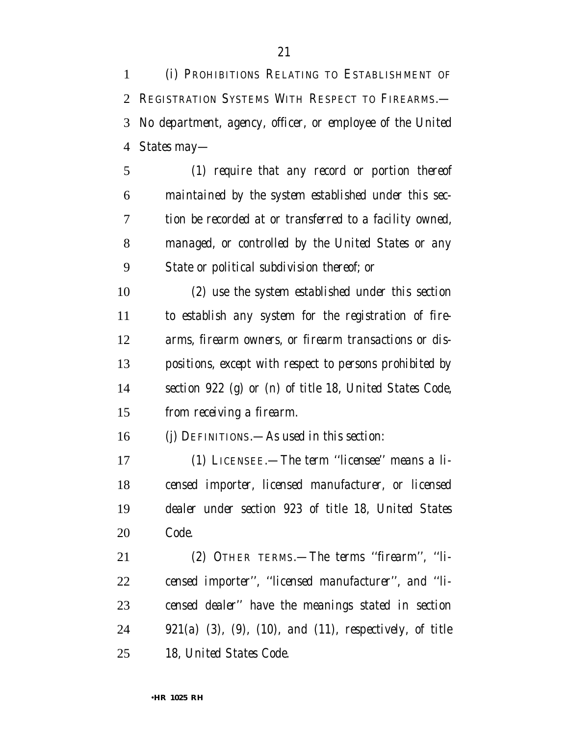*(i) PROHIBITIONS RELATING TO ESTABLISHMENT OF REGISTRATION SYSTEMS WITH RESPECT TO FIREARMS.— No department, agency, officer, or employee of the United States may—*

 *(1) require that any record or portion thereof maintained by the system established under this sec- tion be recorded at or transferred to a facility owned, managed, or controlled by the United States or any State or political subdivision thereof; or*

 *(2) use the system established under this section to establish any system for the registration of fire- arms, firearm owners, or firearm transactions or dis- positions, except with respect to persons prohibited by section 922 (g) or (n) of title 18, United States Code, from receiving a firearm.*

*(j) DEFINITIONS.—As used in this section:*

 *(1) LICENSEE.—The term ''licensee'' means a li- censed importer, licensed manufacturer, or licensed dealer under section 923 of title 18, United States Code.*

 *(2) OTHER TERMS.—The terms ''firearm'', ''li- censed importer'', ''licensed manufacturer'', and ''li- censed dealer'' have the meanings stated in section 921(a) (3), (9), (10), and (11), respectively, of title 18, United States Code.*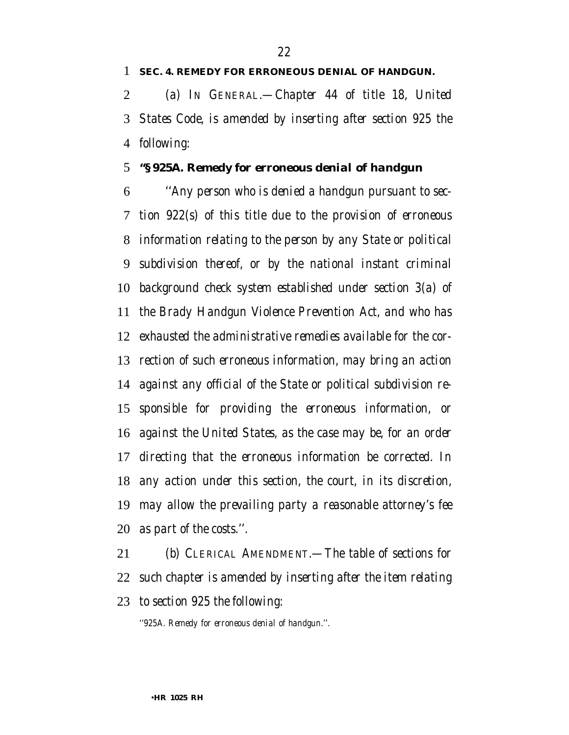#### *SEC. 4. REMEDY FOR ERRONEOUS DENIAL OF HANDGUN.*

 *(a) IN GENERAL.—Chapter 44 of title 18, United States Code, is amended by inserting after section 925 the following:*

### *''§ 925A. Remedy for erroneous denial of handgun*

 *''Any person who is denied a handgun pursuant to sec- tion 922(s) of this title due to the provision of erroneous information relating to the person by any State or political subdivision thereof, or by the national instant criminal background check system established under section 3(a) of the Brady Handgun Violence Prevention Act, and who has exhausted the administrative remedies available for the cor- rection of such erroneous information, may bring an action against any official of the State or political subdivision re- sponsible for providing the erroneous information, or against the United States, as the case may be, for an order directing that the erroneous information be corrected. In any action under this section, the court, in its discretion, may allow the prevailing party a reasonable attorney's fee as part of the costs.''.*

 *(b) CLERICAL AMENDMENT.—The table of sections for such chapter is amended by inserting after the item relating to section 925 the following:*

*''925A. Remedy for erroneous denial of handgun.''.*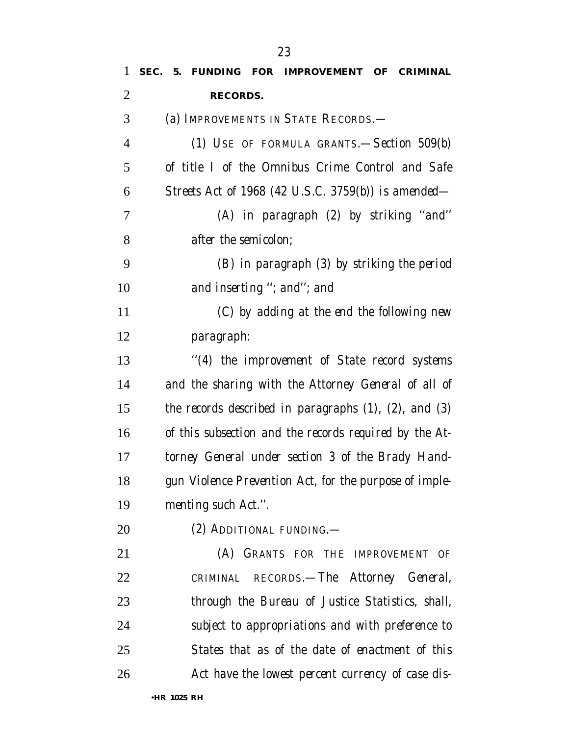| 1              | SEC.<br>5. FUNDING FOR IMPROVEMENT OF CRIMINAL                |
|----------------|---------------------------------------------------------------|
| $\overline{2}$ | <b>RECORDS.</b>                                               |
| 3              | (a) IMPROVEMENTS IN STATE RECORDS.—                           |
| 4              | (1) USE OF FORMULA GRANTS.—Section $509(b)$                   |
| 5              | of title I of the Omnibus Crime Control and Safe              |
| 6              | Streets Act of 1968 (42 U.S.C. 3759(b)) is amended—           |
| 7              | (A) in paragraph (2) by striking "and"                        |
| 8              | <i>after the semicolon;</i>                                   |
| 9              | (B) in paragraph (3) by striking the period                   |
| 10             | and inserting "; and"; and                                    |
| 11             | (C) by adding at the end the following new                    |
| 12             | paragraph:                                                    |
| 13             | "(4) the improvement of State record systems                  |
| 14             | and the sharing with the Attorney General of all of           |
| 15             | the records described in paragraphs $(1)$ , $(2)$ , and $(3)$ |
| 16             | of this subsection and the records required by the At-        |
| 17             | torney General under section 3 of the Brady Hand-             |
| 18             | gun Violence Prevention Act, for the purpose of imple-        |
| 19             | menting such Act.".                                           |
| 20             | (2) ADDITIONAL FUNDING.—                                      |
| 21             | (A) GRANTS FOR THE IMPROVEMENT OF                             |
| 22             | CRIMINAL RECORDS.—The Attorney General,                       |
| 23             | through the Bureau of Justice Statistics, shall,              |
| 24             | subject to appropriations and with preference to              |
| 25             | States that as of the date of enactment of this               |
| 26             | Act have the lowest percent currency of case dis-             |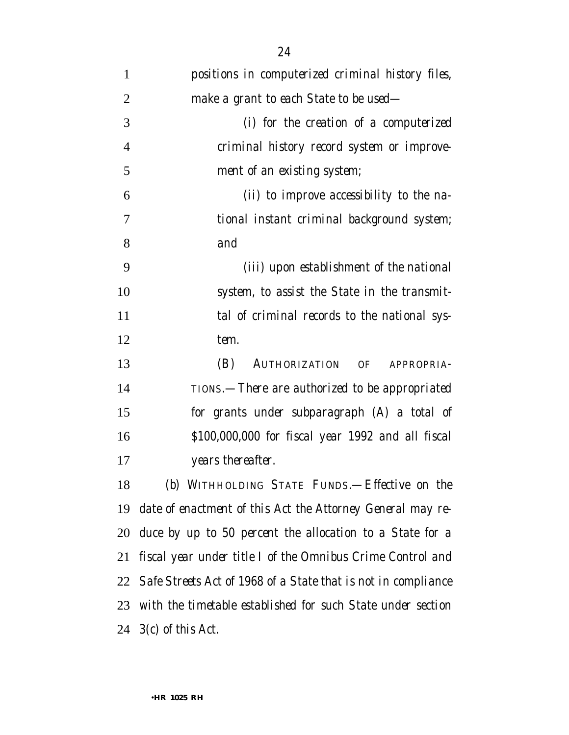| 1              | positions in computerized criminal history files,                |
|----------------|------------------------------------------------------------------|
| $\overline{2}$ | make a grant to each State to be used—                           |
| 3              | (i) for the creation of a computerized                           |
| $\overline{4}$ | criminal history record system or improve-                       |
| 5              | ment of an existing system;                                      |
| 6              | (ii) to improve accessibility to the na-                         |
| 7              | tional instant criminal background system;                       |
| 8              | and                                                              |
| 9              | (iii) upon establishment of the national                         |
| 10             | system, to assist the State in the transmit-                     |
| 11             | tal of criminal records to the national sys-                     |
| 12             | tem.                                                             |
| 13             | (B)<br>AUTHORIZATION OF APPROPRIA-                               |
| 14             | TIONS. - There are authorized to be appropriated                 |
| 15             | for grants under subparagraph (A) a total of                     |
| 16             | \$100,000,000 for fiscal year 1992 and all fiscal                |
| 17             | years thereafter.                                                |
| 18             | (b) WITHHOLDING STATE FUNDS. - Effective on the                  |
| 19             | date of enactment of this Act the Attorney General may re-       |
| 20             | duce by up to 50 percent the allocation to a State for a         |
| 21             | fiscal year under title I of the Omnibus Crime Control and       |
|                | 22 Safe Streets Act of 1968 of a State that is not in compliance |
| 23             | with the timetable established for such State under section      |
|                | 24 $3(c)$ of this Act.                                           |